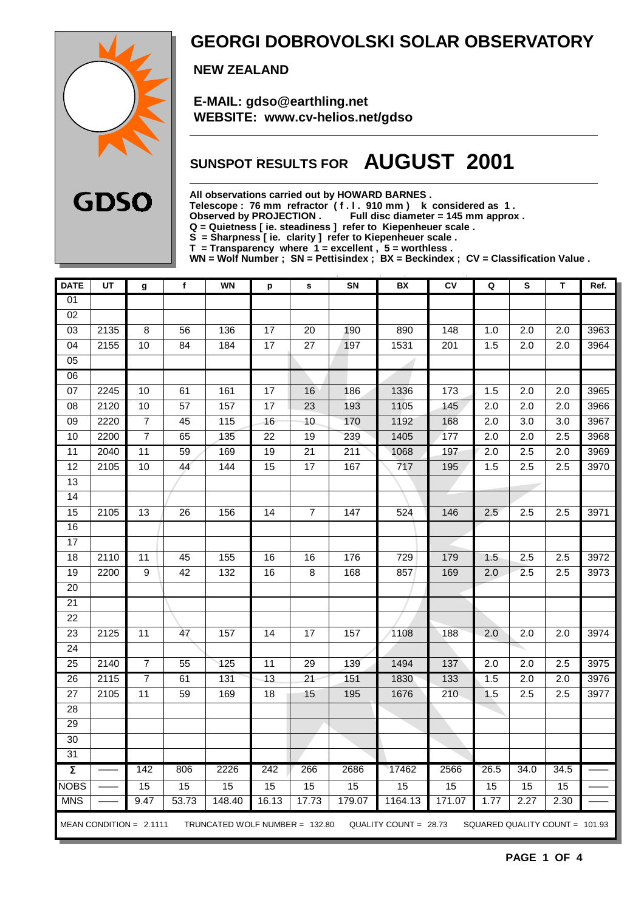

### **GEORGI DOBROVOLSKI SOLAR OBSERVATORY**

 **NEW ZEALAND**

 **E-MAIL: gdso@earthling.net WEBSITE: www.cv-helios.net/gdso**

## **SUNSPOT RESULTS FOR AUGUST 2001**

**All observations carried out by HOWARD BARNES .**

**Telescope : 76 mm refractor ( f . l . 910 mm ) k considered as 1 .**

Observed by PROJECTION . Full disc diameter = 145 mm approx .

**Q = Quietness [ ie. steadiness ] refer to Kiepenheuer scale .**

**S = Sharpness [ ie. clarity ] refer to Kiepenheuer scale .**

**T = Transparency where 1 = excellent , 5 = worthless .**

**WN = Wolf Number ; SN = Pettisindex ; BX = Beckindex ; CV = Classification Value .**

| <b>DATE</b>         | UT   | g                         | $\mathbf f$     | <b>WN</b>                      | p               | $\mathbf s$     | SN               | BX                    | CV     | Q                              | S                | T                | Ref. |
|---------------------|------|---------------------------|-----------------|--------------------------------|-----------------|-----------------|------------------|-----------------------|--------|--------------------------------|------------------|------------------|------|
| 01                  |      |                           |                 |                                |                 |                 |                  |                       |        |                                |                  |                  |      |
| 02                  |      |                           |                 |                                |                 |                 |                  |                       |        |                                |                  |                  |      |
| 03                  | 2135 | $\bf 8$                   | 56              | 136                            | 17              | 20              | 190              | 890                   | 148    | 1.0                            | 2.0              | 2.0              | 3963 |
| 04                  | 2155 | 10                        | 84              | 184                            | 17              | $\overline{27}$ | 197              | 1531                  | 201    | 1.5                            | 2.0              | 2.0              | 3964 |
| 05                  |      |                           |                 |                                |                 |                 |                  |                       |        |                                |                  |                  |      |
| 06                  |      |                           |                 |                                |                 |                 |                  |                       |        |                                |                  |                  |      |
| $\overline{07}$     | 2245 | 10                        | 61              | 161                            | $\overline{17}$ | 16              | 186              | 1336                  | 173    | 1.5                            | 2.0              | $\overline{2.0}$ | 3965 |
| 08                  | 2120 | 10                        | $\overline{57}$ | 157                            | $\overline{17}$ | $\overline{23}$ | 193              | 1105                  | 145    | 2.0                            | $\overline{2.0}$ | $\overline{2.0}$ | 3966 |
| $\overline{09}$     | 2220 | $\overline{7}$            | 45              | 115                            | 16              | 10              | 170              | 1192                  | 168    | 2.0                            | $\overline{3.0}$ | $\overline{3.0}$ | 3967 |
| 10                  | 2200 | $\overline{7}$            | 65              | 135                            | $\overline{22}$ | 19              | 239              | 1405                  | 177    | 2.0                            | $\overline{2.0}$ | 2.5              | 3968 |
| 11                  | 2040 | 11                        | 59              | 169                            | 19              | $\overline{21}$ | 211              | 1068                  | 197    | 2.0                            | 2.5              | $\overline{2.0}$ | 3969 |
| 12                  | 2105 | 10                        | 44              | 144                            | 15              | 17              | 167              | 717                   | 195    | 1.5                            | 2.5              | 2.5              | 3970 |
| 13                  |      |                           |                 |                                |                 |                 |                  |                       |        |                                |                  |                  |      |
| 14                  |      |                           |                 |                                |                 |                 |                  |                       |        |                                |                  |                  |      |
| 15                  | 2105 | $\overline{13}$           | $\overline{26}$ | 156                            | $\overline{14}$ | $\overline{7}$  | $\overline{147}$ | 524                   | 146    | 2.5                            | 2.5              | 2.5              | 3971 |
| 16                  |      |                           |                 |                                |                 |                 |                  |                       |        |                                |                  |                  |      |
| 17                  |      |                           |                 |                                |                 |                 |                  |                       |        |                                |                  |                  |      |
| 18                  | 2110 | 11                        | 45              | 155                            | 16              | 16              | 176              | 729                   | 179    | 1.5                            | $\overline{2.5}$ | 2.5              | 3972 |
| 19                  | 2200 | 9                         | 42              | 132                            | 16              | $\bf 8$         | 168              | 857                   | 169    | 2.0                            | 2.5              | 2.5              | 3973 |
| 20                  |      |                           |                 |                                |                 |                 |                  |                       |        |                                |                  |                  |      |
| $\overline{21}$     |      |                           |                 |                                |                 |                 |                  |                       |        |                                |                  |                  |      |
| 22                  |      |                           |                 |                                |                 |                 |                  |                       |        |                                |                  |                  |      |
| $\overline{23}$     | 2125 | $\overline{11}$           | 47              | 157                            | $\overline{14}$ | $\overline{17}$ | 157              | 1108                  | 188    | 2.0                            | $\overline{2.0}$ | $\overline{2.0}$ | 3974 |
| $\overline{24}$     |      |                           |                 |                                |                 |                 |                  |                       |        |                                |                  |                  |      |
| 25                  | 2140 | $\overline{7}$            | 55              | 125                            | 11              | 29              | 139              | 1494                  | 137    | 2.0                            | 2.0              | 2.5              | 3975 |
| 26                  | 2115 | $\overline{7}$            | 61              | 131                            | $\overline{13}$ | $\overline{21}$ | 151              | 1830                  | 133    | 1.5                            | $\overline{2.0}$ | $\overline{2.0}$ | 3976 |
| 27                  | 2105 | 11                        | 59              | 169                            | 18              | 15              | 195              | 1676                  | 210    | 1.5                            | 2.5              | 2.5              | 3977 |
| 28                  |      |                           |                 |                                |                 |                 |                  |                       |        |                                |                  |                  |      |
| 29                  |      |                           |                 |                                |                 |                 |                  |                       |        |                                |                  |                  |      |
| $\overline{30}$     |      |                           |                 |                                |                 |                 |                  |                       |        |                                |                  |                  |      |
| 31                  |      |                           |                 |                                |                 |                 |                  |                       |        |                                |                  |                  |      |
| $\overline{\Sigma}$ |      | 142                       | 806             | 2226                           | 242             | 266             | 2686             | 17462                 | 2566   | 26.5                           | 34.0             | 34.5             |      |
| <b>NOBS</b>         |      | 15                        | 15              | 15                             | 15              | 15              | 15               | 15                    | 15     | 15                             | 15               | 15               |      |
| <b>MNS</b>          |      | 9.47                      | 53.73           | 148.40                         | 16.13           | 17.73           | 179.07           | 1164.13               | 171.07 | 1.77                           | 2.27             | 2.30             |      |
|                     |      | MEAN CONDITION = $2.1111$ |                 | TRUNCATED WOLF NUMBER = 132.80 |                 |                 |                  | QUALITY COUNT = 28.73 |        | SQUARED QUALITY COUNT = 101.93 |                  |                  |      |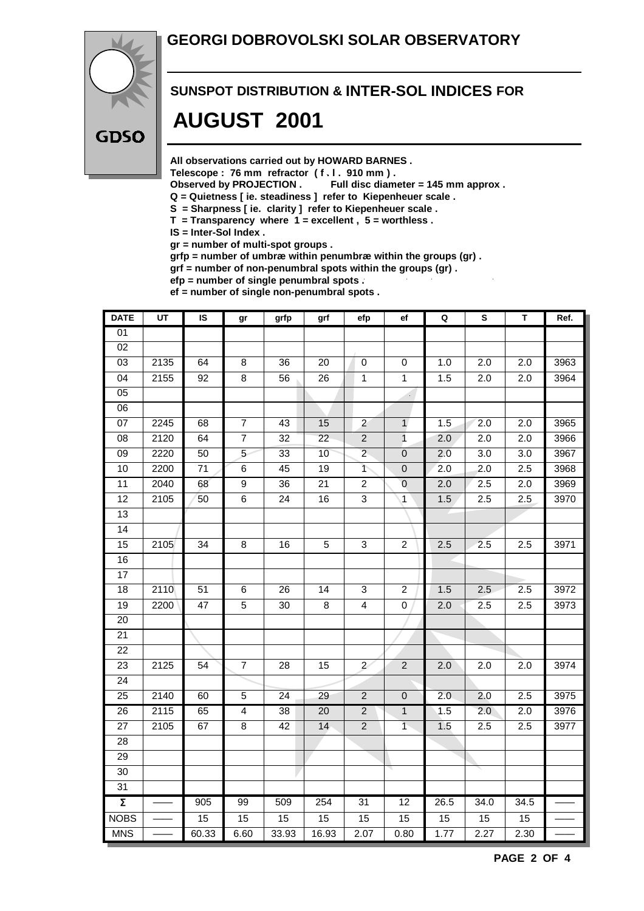#### **GEORGI DOBROVOLSKI SOLAR OBSERVATORY**



# **SUNSPOT DISTRIBUTION & INTER-SOL INDICES FOR AUGUST 2001**

**All observations carried out by HOWARD BARNES .**

Telescope : 76 mm refractor (f. l. 910 mm).<br>Observed by PROJECTION . Full disc diam

Full disc diameter = 145 mm approx .

- **Q = Quietness [ ie. steadiness ] refer to Kiepenheuer scale .**
- **S = Sharpness [ ie. clarity ] refer to Kiepenheuer scale .**
- **T = Transparency where 1 = excellent , 5 = worthless .**
- **IS = Inter-Sol Index .**

**gr = number of multi-spot groups .**

**grfp = number of umbræ within penumbræ within the groups (gr) .**

**grf = number of non-penumbral spots within the groups (gr) .**

**efp = number of single penumbral spots .**

**ef = number of single non-penumbral spots .**

| <b>DATE</b>         | UT   | IS              | gr              | grfp            | grf             | efp                      | ef                          | Q                | S                | T                | Ref. |
|---------------------|------|-----------------|-----------------|-----------------|-----------------|--------------------------|-----------------------------|------------------|------------------|------------------|------|
| 01                  |      |                 |                 |                 |                 |                          |                             |                  |                  |                  |      |
| $\overline{02}$     |      |                 |                 |                 |                 |                          |                             |                  |                  |                  |      |
| $\overline{03}$     | 2135 | 64              | 8               | 36              | 20              | $\pmb{0}$                | 0                           | 1.0              | $\overline{2.0}$ | 2.0              | 3963 |
| $\overline{04}$     | 2155 | $\overline{92}$ | $\overline{8}$  | $\overline{56}$ | $\overline{26}$ | $\overline{1}$           | $\overline{1}$              | 1.5              | $\overline{2.0}$ | $\overline{2.0}$ | 3964 |
| $\overline{05}$     |      |                 |                 |                 |                 |                          | $\mathcal{L}_{\mathcal{A}}$ |                  |                  |                  |      |
| 06                  |      |                 |                 |                 |                 |                          |                             |                  |                  |                  |      |
| 07                  | 2245 | 68              | $\overline{7}$  | 43              | 15              | $\overline{2}$           | $\mathbf{1}$                | 1.5              | $\overline{2.0}$ | $\overline{2.0}$ | 3965 |
| $\overline{08}$     | 2120 | 64              | $\overline{7}$  | $\overline{32}$ | $\overline{22}$ | $\overline{2}$           | $\mathbf{1}$                | 2.0              | $\overline{2.0}$ | $\overline{2.0}$ | 3966 |
| $\overline{09}$     | 2220 | 50              | $\overline{5}$  | 33              | 10              | $\overline{2}$           | $\overline{0}$              | 2.0              | 3.0              | 3.0              | 3967 |
| 10                  | 2200 | $\overline{71}$ | $\overline{6}$  | 45              | $\overline{19}$ | $\overline{\mathcal{L}}$ | $\overline{0}$              | $\overline{2.0}$ | $\overline{2.0}$ | 2.5              | 3968 |
| $\overline{11}$     | 2040 | 68              | $\overline{9}$  | $\overline{36}$ | 21              | $\overline{c}$           | $\mathbf 0$                 | 2.0              | 2.5              | 2.0              | 3969 |
| $\overline{12}$     | 2105 | 50              | $\overline{6}$  | $\overline{24}$ | 16              | 3                        | $\mathbf{1}$                | 1.5              | 2.5              | 2.5              | 3970 |
| $\overline{13}$     |      |                 |                 |                 |                 |                          |                             |                  |                  |                  |      |
| $\overline{14}$     |      |                 |                 |                 |                 |                          |                             |                  |                  |                  |      |
| 15                  | 2105 | 34              | 8               | 16              | $\sqrt{5}$      | 3                        | $\overline{2}$              | 2.5              | 2.5              | 2.5              | 3971 |
| 16                  |      |                 |                 |                 |                 |                          |                             |                  |                  |                  |      |
| 17                  |      |                 |                 |                 |                 |                          |                             |                  |                  |                  |      |
| $\overline{18}$     | 2110 | $\overline{51}$ | 6               | 26              | 14              | 3                        | $\overline{a}$              | 1.5              | 2.5              | 2.5              | 3972 |
| 19                  | 2200 | 47              | 5               | 30              | 8               | $\overline{\mathbf{4}}$  | 0                           | 2.0              | 2.5              | 2.5              | 3973 |
| 20                  |      |                 |                 |                 |                 |                          |                             |                  |                  |                  |      |
| $\overline{21}$     |      |                 |                 |                 |                 |                          |                             |                  |                  |                  |      |
| 22                  |      |                 |                 |                 |                 |                          |                             |                  |                  |                  |      |
| 23                  | 2125 | $\overline{54}$ | $\overline{7}$  | 28              | $\overline{15}$ | $\overline{2}$           | $\overline{c}$              | 2.0              | 2.0              | 2.0              | 3974 |
| $\overline{24}$     |      |                 |                 |                 |                 |                          |                             |                  |                  |                  |      |
| 25                  | 2140 | 60              | 5               | 24              | 29              | $\sqrt{2}$               | $\bf 0$                     | 2.0              | 2.0              | 2.5              | 3975 |
| $\overline{26}$     | 2115 | 65              | $\overline{4}$  | $\overline{38}$ | $\overline{20}$ | $\overline{2}$           | $\mathbf{1}$                | 1.5              | $\overline{2.0}$ | 2.0              | 3976 |
| $\overline{27}$     | 2105 | 67              | $\overline{8}$  | 42              | 14              | $\overline{2}$           | $\overline{1}$              | 1.5              | 2.5              | 2.5              | 3977 |
| 28                  |      |                 |                 |                 |                 |                          |                             |                  |                  |                  |      |
| 29                  |      |                 |                 |                 |                 |                          |                             |                  |                  |                  |      |
| $\overline{30}$     |      |                 |                 |                 |                 |                          |                             |                  |                  |                  |      |
| 31                  |      |                 |                 |                 |                 |                          |                             |                  |                  |                  |      |
| $\overline{\Sigma}$ |      | 905             | 99              | 509             | 254             | 31                       | $\overline{12}$             | 26.5             | 34.0             | 34.5             |      |
| <b>NOBS</b>         |      | 15              | $\overline{15}$ | 15              | 15              | $\overline{15}$          | 15                          | $\overline{15}$  | 15               | 15               |      |
| <b>MNS</b>          |      | 60.33           | 6.60            | 33.93           | 16.93           | 2.07                     | 0.80                        | 1.77             | 2.27             | 2.30             |      |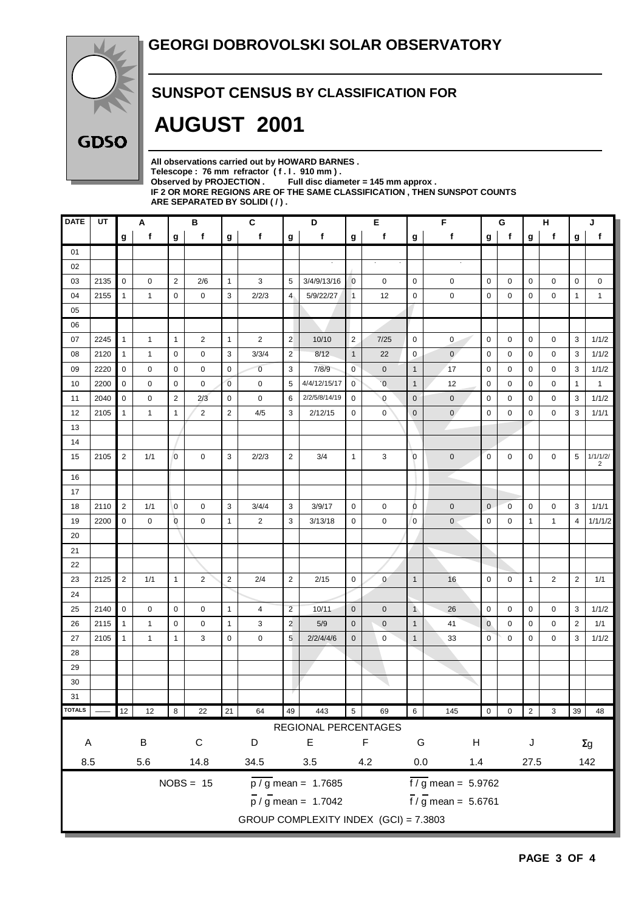

#### **SUNSPOT CENSUS BY CLASSIFICATION FOR**

# **AUGUST 2001**

**All observations carried out by HOWARD BARNES .** Telescope : 76 mm refractor (f. l. 910 mm).<br>Observed by PROJECTION . Full disc diam Full disc diameter = 145 mm approx . **IF 2 OR MORE REGIONS ARE OF THE SAME CLASSIFICATION , THEN SUNSPOT COUNTS ARE SEPARATED BY SOLIDI ( / ) .**

| f<br>$\mathbf f$<br>f<br>f<br>f<br>$\boldsymbol{g}$<br>g<br>f<br>f<br>g<br>g<br>g<br>g<br>g<br>01<br>$\alpha$<br>02<br>$\mathbf 0$<br>$\overline{2}$<br>$\mathbf{1}$<br>03<br>2135<br>2/6<br>3<br>5<br>3/4/9/13/16<br>$\overline{0}$<br>$\pmb{0}$<br>$\mathbf 0$<br>$\mathbf 0$<br>$\mathbf 0$<br>0<br>0<br>2155<br>$\mathbf 0$<br>$\mathbf 0$<br>3<br>2/2/3<br>$\overline{4}$<br>5/9/22/27<br>12<br>$\mathbf 0$<br>$\mathbf 0$<br>$\mathbf 0$<br>04<br>1<br>1<br>0<br>1 | g<br>0<br>0<br>0 | f<br>0<br>0    | g<br>$\pmb{0}$<br>$\mathbf{1}$ | f<br>0<br>1   |
|--------------------------------------------------------------------------------------------------------------------------------------------------------------------------------------------------------------------------------------------------------------------------------------------------------------------------------------------------------------------------------------------------------------------------------------------------------------------------|------------------|----------------|--------------------------------|---------------|
|                                                                                                                                                                                                                                                                                                                                                                                                                                                                          |                  |                |                                |               |
|                                                                                                                                                                                                                                                                                                                                                                                                                                                                          |                  |                |                                |               |
|                                                                                                                                                                                                                                                                                                                                                                                                                                                                          |                  |                |                                |               |
|                                                                                                                                                                                                                                                                                                                                                                                                                                                                          |                  |                |                                |               |
|                                                                                                                                                                                                                                                                                                                                                                                                                                                                          |                  |                |                                |               |
| 05                                                                                                                                                                                                                                                                                                                                                                                                                                                                       |                  |                |                                |               |
| 06                                                                                                                                                                                                                                                                                                                                                                                                                                                                       |                  |                |                                |               |
| $\mathbf{1}$<br>$\mathbf{1}$<br>$\overline{2}$<br>$\overline{2}$<br>$\mathbf 0$<br>07<br>2245<br>$\mathbf{1}$<br>$\overline{2}$<br>$\overline{2}$<br>10/10<br>7/25<br>$\mathbf 0$<br>$\mathbf 0$<br>$\mathbf{1}$<br>0                                                                                                                                                                                                                                                    |                  | $\mathbf 0$    | 3                              | 1/1/2         |
| 3<br>$\overline{2}$<br>$\mathbf 0$<br>3/3/4<br>8/12<br>$\mathbf 0$<br>$\overline{0}$<br>$\mathbf 0$<br>08<br>2120<br>$\mathbf{1}$<br>0<br>$\mathbf{1}$<br>22<br>0<br>1                                                                                                                                                                                                                                                                                                   | 0                | 0              | 3                              | 1/1/2         |
| $\mathbf 0$<br>$\mathbf 0$<br>3<br>$\mathbf 0$<br>2220<br>$\mathbf 0$<br>$\overline{0}$<br>7/8/9<br>$\overline{1}$<br>17<br>$\mathbf 0$<br>09<br>0<br>0<br>$\mathbf 0$<br>0                                                                                                                                                                                                                                                                                              | 0                | 0              | 3                              | 1/1/2         |
| $\pmb{0}$<br>$\mathbf{0}$<br>$\overline{0}$<br>10<br>2200<br>0<br>$\mathbf 0$<br>0<br>$\mathbf 0$<br>5<br>4/4/12/15/17<br>$\overline{0}$<br>$\overline{1}$<br>12<br>0<br>0                                                                                                                                                                                                                                                                                               | $\mathbf 0$      | 0              | $\mathbf{1}$                   | $\mathbf{1}$  |
| $\overline{2}$<br>2/2/5/8/14/19<br>$\mathbf{0}$<br>2040<br>$\mathbf 0$<br>0<br>2/3<br>$\mathbf 0$<br>$\mathbf 0$<br>6<br>$\mathbf 0$<br>$\mathbf{0}$<br>$\mathbf{0}$<br>$\mathbf 0$<br>11<br>0                                                                                                                                                                                                                                                                           | 0                | 0              | 3                              | 1/1/2         |
| $\overline{2}$<br>$\overline{2}$<br>3<br>$\mathbf 0$<br>$\mathbf{0}$<br>$\mathbf 0$<br>12<br>2105<br>$\mathbf{1}$<br>4/5<br>2/12/15<br>0<br>0<br>0<br>1<br>$\mathbf{1}$                                                                                                                                                                                                                                                                                                  | 0                | 0              | 3                              | 1/1/1         |
| 13                                                                                                                                                                                                                                                                                                                                                                                                                                                                       |                  |                |                                |               |
| 14                                                                                                                                                                                                                                                                                                                                                                                                                                                                       |                  |                |                                |               |
| $\overline{2}$<br>$\overline{0}$<br>3<br>$\overline{2}$<br>$\overline{0}$<br>$\mathbf 0$<br>1/1<br>$\mathbf 0$<br>2/2/3<br>3/4<br>3<br>$\mathbf 0$<br>15<br>2105<br>$\mathbf{1}$<br>0                                                                                                                                                                                                                                                                                    | $\mathbf 0$      | $\mathbf 0$    | 5                              | 1/1/1/2/<br>2 |
| 16                                                                                                                                                                                                                                                                                                                                                                                                                                                                       |                  |                |                                |               |
| 17                                                                                                                                                                                                                                                                                                                                                                                                                                                                       |                  |                |                                |               |
| $\overline{2}$<br>3<br>$\overline{0}$<br>18<br>2110<br>$\mathbf 0$<br>0<br>3/4/4<br>3<br>3/9/17<br>$\mathbf 0$<br>0<br>$\pmb{0}$<br>$\mathbf 0$<br>1/1<br>0                                                                                                                                                                                                                                                                                                              | 0                | 0              | 3                              | 1/1/1         |
| $\mathbf 0$<br>$\overline{0}$<br>$\mathbf{1}$<br>3<br>19<br>2200<br>0<br>$\mathbf 0$<br>2<br>3/13/18<br>0<br>$\mathbf 0$<br>$\overline{0}$<br>$\pmb{0}$<br>$\mathbf 0$<br>$\mathbf 0$                                                                                                                                                                                                                                                                                    | 1                | $\mathbf{1}$   | $\overline{4}$                 | 1/1/1/2       |
| 20                                                                                                                                                                                                                                                                                                                                                                                                                                                                       |                  |                |                                |               |
| 21                                                                                                                                                                                                                                                                                                                                                                                                                                                                       |                  |                |                                |               |
| 22                                                                                                                                                                                                                                                                                                                                                                                                                                                                       |                  |                |                                |               |
| $\overline{2}$<br>$\mathbf{1}$<br>$\overline{2}$<br>$\overline{2}$<br>$\mathbf 0$<br>23<br>2125<br>1/1<br>$\overline{2}$<br>2/4<br>2/15<br>$\mathbf 0$<br>$\mathbf{0}$<br>$\mathbf{1}$<br>16<br>$\mathbf 0$                                                                                                                                                                                                                                                              | $\mathbf{1}$     | $\overline{2}$ | $\overline{2}$                 | 1/1           |
| 24                                                                                                                                                                                                                                                                                                                                                                                                                                                                       |                  |                |                                |               |
| $\overline{c}$<br>$\mathbf 0$<br>$\mathbf{1}$<br>25<br>2140<br>$\mathbf 0$<br>$\mathbf 0$<br>10/11<br>$\mathbf{0}$<br>$\pmb{0}$<br>$\mathbf{1}$<br>$\mathbf 0$<br>0<br>4<br>26<br>0                                                                                                                                                                                                                                                                                      | 0                | 0              | 3                              | 1/1/2         |
| $\overline{2}$<br>26<br>2115<br>$\mathbf 0$<br>$\mathbf{1}$<br>3<br>5/9<br>$\mathbf 0$<br>$\pmb{0}$<br>$\mathbf{1}$<br>$\mathbf{0}$<br>$\mathbf{1}$<br>1<br>0<br>41<br>0                                                                                                                                                                                                                                                                                                 | 0                | 0              | $\overline{2}$                 | 1/1           |
| $5\phantom{.0}$<br>$\mathbf 0$<br>$\overline{1}$<br>0<br>$\mathbf 0$<br>27<br>2105<br>$\mathbf{1}$<br>$\mathbf{1}$<br>3<br>0<br>2/2/4/4/6<br>$\mathbf 0$<br>$\pmb{0}$<br>33<br>1                                                                                                                                                                                                                                                                                         | 0                | 0              | 3                              | 1/1/2         |
| 28                                                                                                                                                                                                                                                                                                                                                                                                                                                                       |                  |                |                                |               |
| 29                                                                                                                                                                                                                                                                                                                                                                                                                                                                       |                  |                |                                |               |
| 30                                                                                                                                                                                                                                                                                                                                                                                                                                                                       |                  |                |                                |               |
| 31                                                                                                                                                                                                                                                                                                                                                                                                                                                                       |                  |                |                                |               |
| <b>TOTALS</b><br>$21\,$<br>49<br>$\sqrt{5}$<br>$12\,$<br>64<br>443<br>$\,6\,$<br>$\mathsf{O}\xspace$<br>12<br>8<br>22<br>69<br>145<br>$\mathsf 0$                                                                                                                                                                                                                                                                                                                        | $\overline{2}$   | 3              | 39                             | 48            |
| REGIONAL PERCENTAGES                                                                                                                                                                                                                                                                                                                                                                                                                                                     |                  |                |                                |               |
| $\mathsf C$<br>$\mathsf F$<br>$\sf B$<br>D<br>E<br>G<br>$\boldsymbol{\mathsf{H}}$<br>A                                                                                                                                                                                                                                                                                                                                                                                   | J                |                |                                | $\Sigma$ g    |
| 8.5<br>$5.6\,$<br>14.8<br>34.5<br>$0.0\,$<br>$3.5\,$<br>4.2<br>$1.4$                                                                                                                                                                                                                                                                                                                                                                                                     | 27.5             |                |                                | 142           |
| $NOBS = 15$<br>$\frac{1}{6}$ mean = 5.9762<br>$\overline{p}/\overline{g}$ mean = 1.7685                                                                                                                                                                                                                                                                                                                                                                                  |                  |                |                                |               |
| $\frac{1}{1}$ / g mean = 5.6761<br>$\frac{1}{p}$ / g mean = 1.7042                                                                                                                                                                                                                                                                                                                                                                                                       |                  |                |                                |               |
| GROUP COMPLEXITY INDEX (GCI) = 7.3803                                                                                                                                                                                                                                                                                                                                                                                                                                    |                  |                |                                |               |